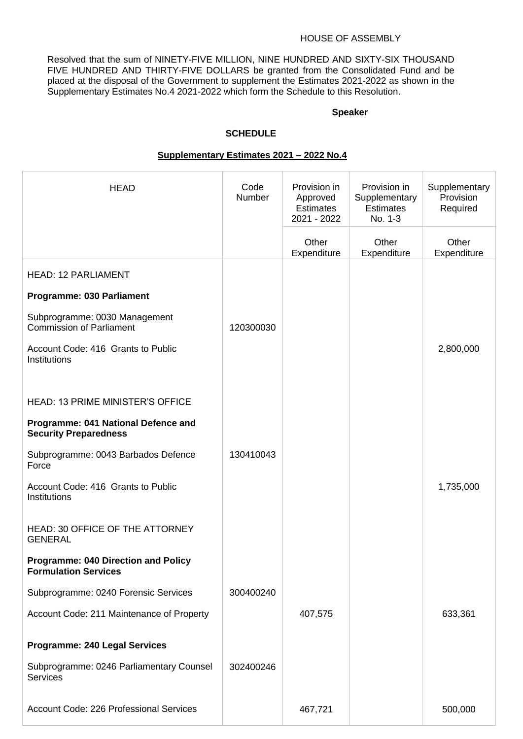#### HOUSE OF ASSEMBLY

Resolved that the sum of NINETY-FIVE MILLION, NINE HUNDRED AND SIXTY-SIX THOUSAND FIVE HUNDRED AND THIRTY-FIVE DOLLARS be granted from the Consolidated Fund and be placed at the disposal of the Government to supplement the Estimates 2021-2022 as shown in the Supplementary Estimates No.4 2021-2022 which form the Schedule to this Resolution.

#### **Speaker**

#### **SCHEDULE**

| <b>HEAD</b>                                                               | Code<br>Number | Provision in<br>Approved<br><b>Estimates</b><br>2021 - 2022 | Provision in<br>Supplementary<br><b>Estimates</b><br>No. 1-3 | Supplementary<br>Provision<br>Required |
|---------------------------------------------------------------------------|----------------|-------------------------------------------------------------|--------------------------------------------------------------|----------------------------------------|
|                                                                           |                | Other<br>Expenditure                                        | Other<br>Expenditure                                         | Other<br>Expenditure                   |
| <b>HEAD: 12 PARLIAMENT</b>                                                |                |                                                             |                                                              |                                        |
| Programme: 030 Parliament                                                 |                |                                                             |                                                              |                                        |
| Subprogramme: 0030 Management<br><b>Commission of Parliament</b>          | 120300030      |                                                             |                                                              |                                        |
| Account Code: 416 Grants to Public<br>Institutions                        |                |                                                             |                                                              | 2,800,000                              |
| <b>HEAD: 13 PRIME MINISTER'S OFFICE</b>                                   |                |                                                             |                                                              |                                        |
| Programme: 041 National Defence and<br><b>Security Preparedness</b>       |                |                                                             |                                                              |                                        |
| Subprogramme: 0043 Barbados Defence<br>Force                              | 130410043      |                                                             |                                                              |                                        |
| Account Code: 416 Grants to Public<br>Institutions                        |                |                                                             |                                                              | 1,735,000                              |
| <b>HEAD: 30 OFFICE OF THE ATTORNEY</b><br><b>GENERAL</b>                  |                |                                                             |                                                              |                                        |
| <b>Programme: 040 Direction and Policy</b><br><b>Formulation Services</b> |                |                                                             |                                                              |                                        |
| Subprogramme: 0240 Forensic Services                                      | 300400240      |                                                             |                                                              |                                        |
| Account Code: 211 Maintenance of Property                                 |                | 407,575                                                     |                                                              | 633,361                                |
| <b>Programme: 240 Legal Services</b>                                      |                |                                                             |                                                              |                                        |
| Subprogramme: 0246 Parliamentary Counsel<br><b>Services</b>               | 302400246      |                                                             |                                                              |                                        |
| Account Code: 226 Professional Services                                   |                | 467,721                                                     |                                                              | 500,000                                |

### **Supplementary Estimates 2021 – 2022 No.4**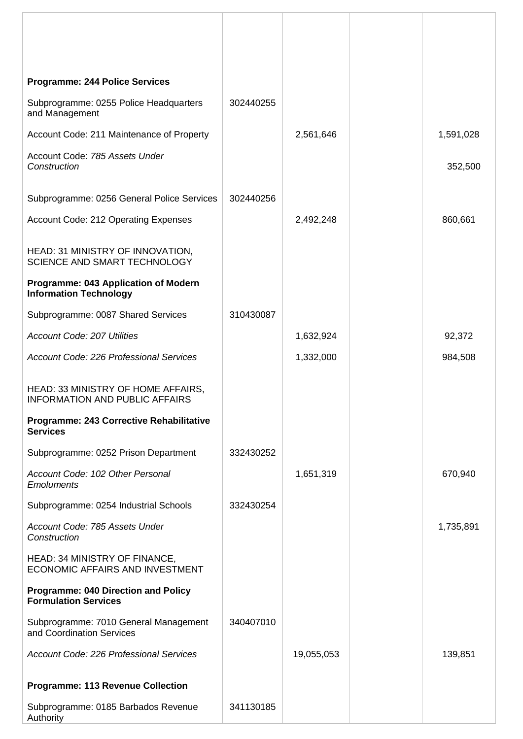| <b>Programme: 244 Police Services</b>                                       |           |            |           |
|-----------------------------------------------------------------------------|-----------|------------|-----------|
| Subprogramme: 0255 Police Headquarters<br>and Management                    | 302440255 |            |           |
| Account Code: 211 Maintenance of Property                                   |           | 2,561,646  | 1,591,028 |
| Account Code: 785 Assets Under<br>Construction                              |           |            | 352,500   |
| Subprogramme: 0256 General Police Services                                  | 302440256 |            |           |
| Account Code: 212 Operating Expenses                                        |           | 2,492,248  | 860,661   |
| HEAD: 31 MINISTRY OF INNOVATION,<br><b>SCIENCE AND SMART TECHNOLOGY</b>     |           |            |           |
| Programme: 043 Application of Modern<br><b>Information Technology</b>       |           |            |           |
| Subprogramme: 0087 Shared Services                                          | 310430087 |            |           |
| <b>Account Code: 207 Utilities</b>                                          |           | 1,632,924  | 92,372    |
| Account Code: 226 Professional Services                                     |           | 1,332,000  | 984,508   |
| HEAD: 33 MINISTRY OF HOME AFFAIRS,<br><b>INFORMATION AND PUBLIC AFFAIRS</b> |           |            |           |
| Programme: 243 Corrective Rehabilitative<br><b>Services</b>                 |           |            |           |
| Subprogramme: 0252 Prison Department                                        | 332430252 |            |           |
| Account Code: 102 Other Personal<br><b>Emoluments</b>                       |           | 1,651,319  | 670,940   |
| Subprogramme: 0254 Industrial Schools                                       | 332430254 |            |           |
| Account Code: 785 Assets Under<br>Construction                              |           |            | 1,735,891 |
| HEAD: 34 MINISTRY OF FINANCE,<br><b>ECONOMIC AFFAIRS AND INVESTMENT</b>     |           |            |           |
| <b>Programme: 040 Direction and Policy</b><br><b>Formulation Services</b>   |           |            |           |
| Subprogramme: 7010 General Management<br>and Coordination Services          | 340407010 |            |           |
| <b>Account Code: 226 Professional Services</b>                              |           | 19,055,053 | 139,851   |
| <b>Programme: 113 Revenue Collection</b>                                    |           |            |           |
| Subprogramme: 0185 Barbados Revenue<br>Authority                            | 341130185 |            |           |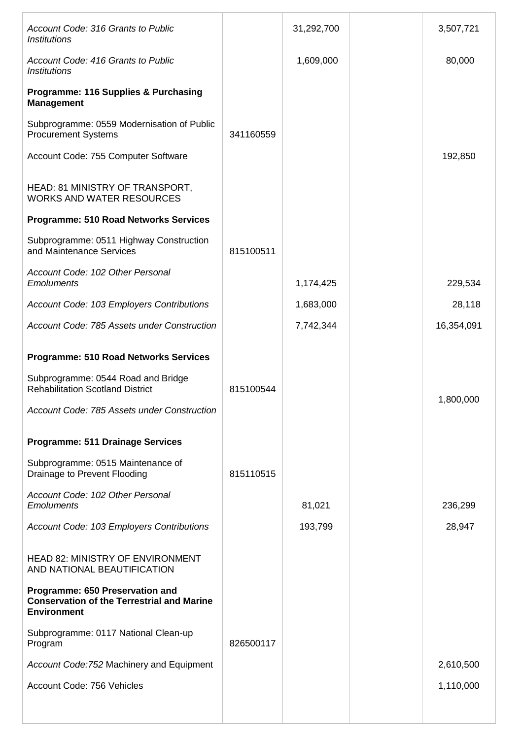| Account Code: 316 Grants to Public<br><b>Institutions</b>                                                  |           | 31,292,700 | 3,507,721  |
|------------------------------------------------------------------------------------------------------------|-----------|------------|------------|
| Account Code: 416 Grants to Public<br><i><b>Institutions</b></i>                                           |           | 1,609,000  | 80,000     |
| <b>Programme: 116 Supplies &amp; Purchasing</b><br><b>Management</b>                                       |           |            |            |
| Subprogramme: 0559 Modernisation of Public<br><b>Procurement Systems</b>                                   | 341160559 |            |            |
| Account Code: 755 Computer Software                                                                        |           |            | 192,850    |
| HEAD: 81 MINISTRY OF TRANSPORT,<br><b>WORKS AND WATER RESOURCES</b>                                        |           |            |            |
| <b>Programme: 510 Road Networks Services</b>                                                               |           |            |            |
| Subprogramme: 0511 Highway Construction<br>and Maintenance Services                                        | 815100511 |            |            |
| Account Code: 102 Other Personal<br><b>Emoluments</b>                                                      |           | 1,174,425  | 229,534    |
| Account Code: 103 Employers Contributions                                                                  |           | 1,683,000  | 28,118     |
| Account Code: 785 Assets under Construction                                                                |           | 7,742,344  | 16,354,091 |
| <b>Programme: 510 Road Networks Services</b>                                                               |           |            |            |
| Subprogramme: 0544 Road and Bridge<br><b>Rehabilitation Scotland District</b>                              | 815100544 |            |            |
| Account Code: 785 Assets under Construction                                                                |           |            | 1,800,000  |
| <b>Programme: 511 Drainage Services</b>                                                                    |           |            |            |
| Subprogramme: 0515 Maintenance of<br>Drainage to Prevent Flooding                                          | 815110515 |            |            |
| Account Code: 102 Other Personal<br><b>Emoluments</b>                                                      |           | 81,021     | 236,299    |
| Account Code: 103 Employers Contributions                                                                  |           | 193,799    | 28,947     |
| <b>HEAD 82: MINISTRY OF ENVIRONMENT</b><br>AND NATIONAL BEAUTIFICATION                                     |           |            |            |
| Programme: 650 Preservation and<br><b>Conservation of the Terrestrial and Marine</b><br><b>Environment</b> |           |            |            |
| Subprogramme: 0117 National Clean-up<br>Program                                                            | 826500117 |            |            |
| Account Code: 752 Machinery and Equipment                                                                  |           |            | 2,610,500  |
| Account Code: 756 Vehicles                                                                                 |           |            | 1,110,000  |
|                                                                                                            |           |            |            |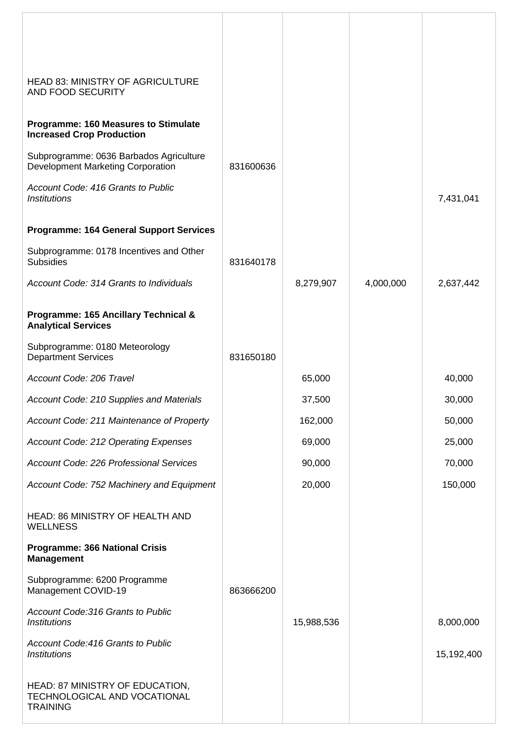| <b>HEAD 83: MINISTRY OF AGRICULTURE</b><br>AND FOOD SECURITY                        |           |            |           |            |
|-------------------------------------------------------------------------------------|-----------|------------|-----------|------------|
| Programme: 160 Measures to Stimulate<br><b>Increased Crop Production</b>            |           |            |           |            |
| Subprogramme: 0636 Barbados Agriculture<br><b>Development Marketing Corporation</b> | 831600636 |            |           |            |
| Account Code: 416 Grants to Public<br><b>Institutions</b>                           |           |            |           | 7,431,041  |
| <b>Programme: 164 General Support Services</b>                                      |           |            |           |            |
| Subprogramme: 0178 Incentives and Other<br><b>Subsidies</b>                         | 831640178 |            |           |            |
| Account Code: 314 Grants to Individuals                                             |           | 8,279,907  | 4,000,000 | 2,637,442  |
| Programme: 165 Ancillary Technical &<br><b>Analytical Services</b>                  |           |            |           |            |
| Subprogramme: 0180 Meteorology<br><b>Department Services</b>                        | 831650180 |            |           |            |
| Account Code: 206 Travel                                                            |           | 65,000     |           | 40,000     |
| Account Code: 210 Supplies and Materials                                            |           | 37,500     |           | 30,000     |
| Account Code: 211 Maintenance of Property                                           |           | 162,000    |           | 50,000     |
| Account Code: 212 Operating Expenses                                                |           | 69,000     |           | 25,000     |
| Account Code: 226 Professional Services                                             |           | 90,000     |           | 70,000     |
| Account Code: 752 Machinery and Equipment                                           |           | 20,000     |           | 150,000    |
| <b>HEAD: 86 MINISTRY OF HEALTH AND</b><br><b>WELLNESS</b>                           |           |            |           |            |
| <b>Programme: 366 National Crisis</b><br><b>Management</b>                          |           |            |           |            |
| Subprogramme: 6200 Programme<br>Management COVID-19                                 | 863666200 |            |           |            |
| Account Code: 316 Grants to Public<br><b>Institutions</b>                           |           | 15,988,536 |           | 8,000,000  |
| Account Code: 416 Grants to Public<br><b>Institutions</b>                           |           |            |           | 15,192,400 |
| HEAD: 87 MINISTRY OF EDUCATION,<br>TECHNOLOGICAL AND VOCATIONAL<br><b>TRAINING</b>  |           |            |           |            |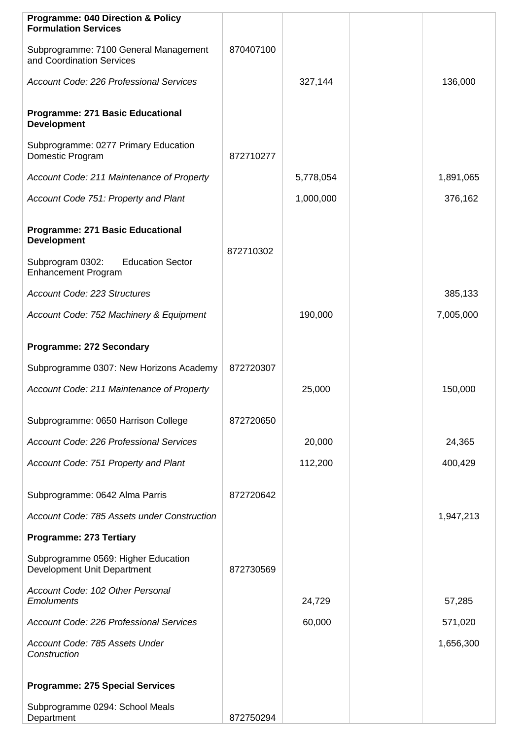| <b>Programme: 040 Direction &amp; Policy</b><br><b>Formulation Services</b> |           |           |           |
|-----------------------------------------------------------------------------|-----------|-----------|-----------|
| Subprogramme: 7100 General Management<br>and Coordination Services          | 870407100 |           |           |
| <b>Account Code: 226 Professional Services</b>                              |           | 327,144   | 136,000   |
| <b>Programme: 271 Basic Educational</b><br><b>Development</b>               |           |           |           |
| Subprogramme: 0277 Primary Education<br>Domestic Program                    | 872710277 |           |           |
| Account Code: 211 Maintenance of Property                                   |           | 5,778,054 | 1,891,065 |
| Account Code 751: Property and Plant                                        |           | 1,000,000 | 376,162   |
| <b>Programme: 271 Basic Educational</b><br><b>Development</b>               |           |           |           |
| Subprogram 0302:<br><b>Education Sector</b><br><b>Enhancement Program</b>   | 872710302 |           |           |
| Account Code: 223 Structures                                                |           |           | 385,133   |
| Account Code: 752 Machinery & Equipment                                     |           | 190,000   | 7,005,000 |
| <b>Programme: 272 Secondary</b>                                             |           |           |           |
| Subprogramme 0307: New Horizons Academy                                     | 872720307 |           |           |
| Account Code: 211 Maintenance of Property                                   |           | 25,000    | 150,000   |
| Subprogramme: 0650 Harrison College                                         | 872720650 |           |           |
| <b>Account Code: 226 Professional Services</b>                              |           | 20,000    | 24,365    |
| Account Code: 751 Property and Plant                                        |           | 112,200   | 400,429   |
| Subprogramme: 0642 Alma Parris                                              | 872720642 |           |           |
| Account Code: 785 Assets under Construction                                 |           |           | 1,947,213 |
| <b>Programme: 273 Tertiary</b>                                              |           |           |           |
| Subprogramme 0569: Higher Education<br>Development Unit Department          | 872730569 |           |           |
| Account Code: 102 Other Personal<br><b>Emoluments</b>                       |           | 24,729    | 57,285    |
| <b>Account Code: 226 Professional Services</b>                              |           | 60,000    | 571,020   |
| Account Code: 785 Assets Under<br>Construction                              |           |           | 1,656,300 |
| <b>Programme: 275 Special Services</b>                                      |           |           |           |
| Subprogramme 0294: School Meals<br>Department                               | 872750294 |           |           |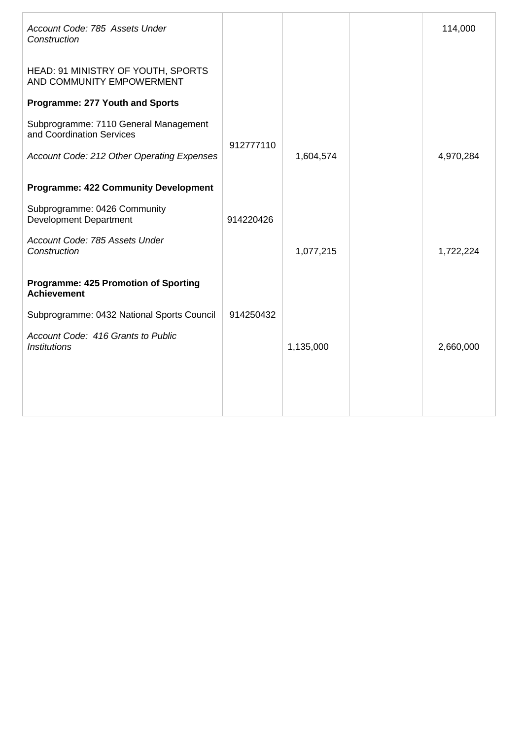| Account Code: 785 Assets Under<br>Construction                     |           |           | 114,000   |
|--------------------------------------------------------------------|-----------|-----------|-----------|
| HEAD: 91 MINISTRY OF YOUTH, SPORTS<br>AND COMMUNITY EMPOWERMENT    |           |           |           |
| <b>Programme: 277 Youth and Sports</b>                             |           |           |           |
| Subprogramme: 7110 General Management<br>and Coordination Services | 912777110 |           |           |
| Account Code: 212 Other Operating Expenses                         |           | 1,604,574 | 4,970,284 |
| <b>Programme: 422 Community Development</b>                        |           |           |           |
| Subprogramme: 0426 Community<br><b>Development Department</b>      | 914220426 |           |           |
| Account Code: 785 Assets Under<br>Construction                     |           | 1,077,215 | 1,722,224 |
| <b>Programme: 425 Promotion of Sporting</b><br><b>Achievement</b>  |           |           |           |
| Subprogramme: 0432 National Sports Council                         | 914250432 |           |           |
| Account Code: 416 Grants to Public<br><i><b>Institutions</b></i>   |           | 1,135,000 | 2,660,000 |
|                                                                    |           |           |           |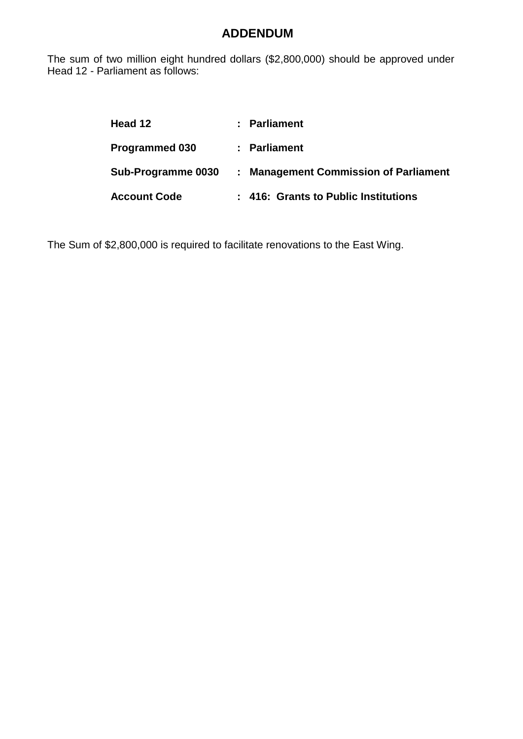The sum of two million eight hundred dollars (\$2,800,000) should be approved under Head 12 - Parliament as follows:

| Head 12               | : Parliament                          |
|-----------------------|---------------------------------------|
| <b>Programmed 030</b> | : Parliament                          |
| Sub-Programme 0030    | : Management Commission of Parliament |
| <b>Account Code</b>   | : 416: Grants to Public Institutions  |

The Sum of \$2,800,000 is required to facilitate renovations to the East Wing.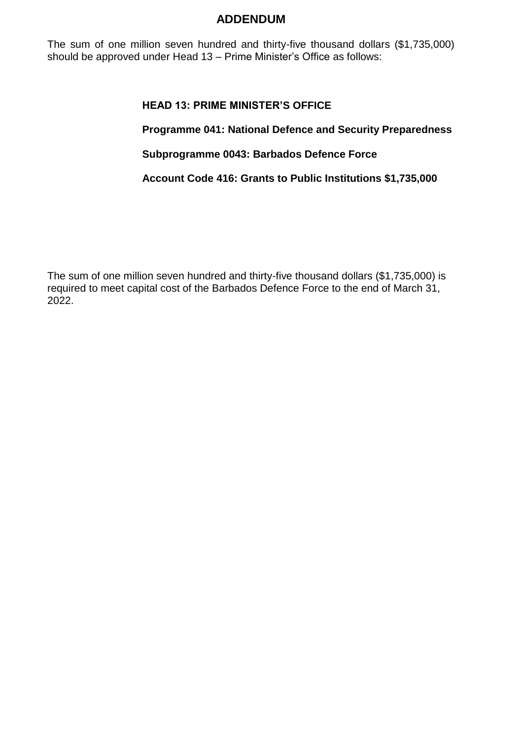The sum of one million seven hundred and thirty-five thousand dollars (\$1,735,000) should be approved under Head 13 – Prime Minister's Office as follows:

## **HEAD 13: PRIME MINISTER'S OFFICE**

**Programme 041: National Defence and Security Preparedness**

**Subprogramme 0043: Barbados Defence Force**

**Account Code 416: Grants to Public Institutions \$1,735,000**

The sum of one million seven hundred and thirty-five thousand dollars (\$1,735,000) is required to meet capital cost of the Barbados Defence Force to the end of March 31, 2022.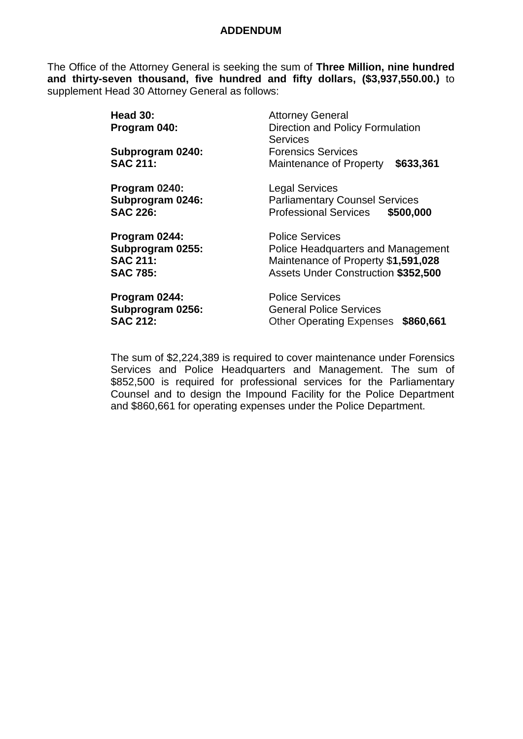The Office of the Attorney General is seeking the sum of **Three Million, nine hundred and thirty-seven thousand, five hundred and fifty dollars, (\$3,937,550.00.)** to supplement Head 30 Attorney General as follows:

| Head 30:<br>Program 040:                                                | <b>Attorney General</b><br>Direction and Policy Formulation<br><b>Services</b>                                                                    |
|-------------------------------------------------------------------------|---------------------------------------------------------------------------------------------------------------------------------------------------|
| Subprogram 0240:                                                        | <b>Forensics Services</b>                                                                                                                         |
| <b>SAC 211:</b>                                                         | \$633,361<br>Maintenance of Property                                                                                                              |
| Program 0240:<br>Subprogram 0246:<br><b>SAC 226:</b>                    | <b>Legal Services</b><br><b>Parliamentary Counsel Services</b><br><b>Professional Services</b><br>\$500,000                                       |
| Program 0244:<br>Subprogram 0255:<br><b>SAC 211:</b><br><b>SAC 785:</b> | <b>Police Services</b><br>Police Headquarters and Management<br>Maintenance of Property \$1,591,028<br><b>Assets Under Construction \$352,500</b> |
| Program 0244:<br>Subprogram 0256:<br><b>SAC 212:</b>                    | <b>Police Services</b><br><b>General Police Services</b><br><b>Other Operating Expenses</b><br>\$860,661                                          |

The sum of \$2,224,389 is required to cover maintenance under Forensics Services and Police Headquarters and Management. The sum of \$852,500 is required for professional services for the Parliamentary Counsel and to design the Impound Facility for the Police Department and \$860,661 for operating expenses under the Police Department.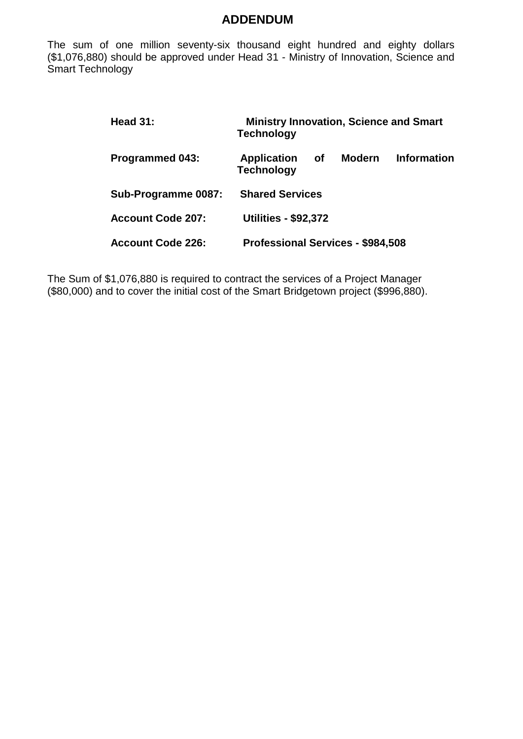The sum of one million seventy-six thousand eight hundred and eighty dollars (\$1,076,880) should be approved under Head 31 - Ministry of Innovation, Science and Smart Technology

| Head $31:$               | <b>Ministry Innovation, Science and Smart</b><br><b>Technology</b> |           |               |                    |
|--------------------------|--------------------------------------------------------------------|-----------|---------------|--------------------|
| <b>Programmed 043:</b>   | <b>Application</b><br><b>Technology</b>                            | <b>of</b> | <b>Modern</b> | <b>Information</b> |
| Sub-Programme 0087:      | <b>Shared Services</b>                                             |           |               |                    |
| <b>Account Code 207:</b> | <b>Utilities - \$92,372</b>                                        |           |               |                    |
| <b>Account Code 226:</b> | <b>Professional Services - \$984,508</b>                           |           |               |                    |

The Sum of \$1,076,880 is required to contract the services of a Project Manager (\$80,000) and to cover the initial cost of the Smart Bridgetown project (\$996,880).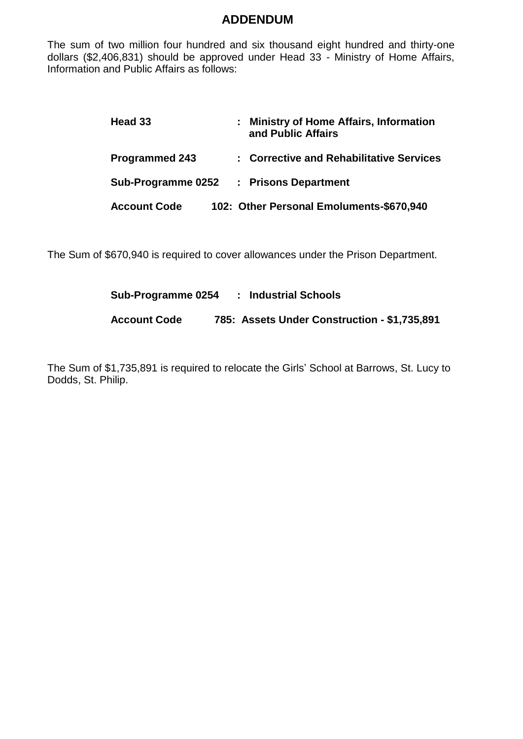The sum of two million four hundred and six thousand eight hundred and thirty-one dollars (\$2,406,831) should be approved under Head 33 - Ministry of Home Affairs, Information and Public Affairs as follows:

| Head 33               | : Ministry of Home Affairs, Information<br>and Public Affairs |
|-----------------------|---------------------------------------------------------------|
| <b>Programmed 243</b> | : Corrective and Rehabilitative Services                      |
| Sub-Programme 0252    | : Prisons Department                                          |
| <b>Account Code</b>   | 102: Other Personal Emoluments-\$670,940                      |

The Sum of \$670,940 is required to cover allowances under the Prison Department.

| Sub-Programme 0254  | : Industrial Schools                         |
|---------------------|----------------------------------------------|
| <b>Account Code</b> | 785: Assets Under Construction - \$1,735,891 |

The Sum of \$1,735,891 is required to relocate the Girls' School at Barrows, St. Lucy to Dodds, St. Philip.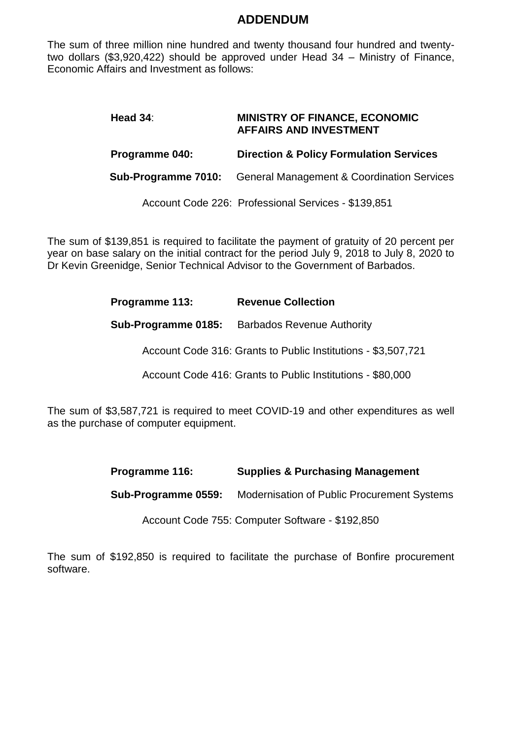The sum of three million nine hundred and twenty thousand four hundred and twentytwo dollars (\$3,920,422) should be approved under Head 34 – Ministry of Finance, Economic Affairs and Investment as follows:

| Head $34$ :           | <b>MINISTRY OF FINANCE, ECONOMIC</b><br><b>AFFAIRS AND INVESTMENT</b> |
|-----------------------|-----------------------------------------------------------------------|
| <b>Programme 040:</b> | <b>Direction &amp; Policy Formulation Services</b>                    |
|                       | <b>Sub-Programme 7010:</b> General Management & Coordination Services |
|                       | Account Code 226: Professional Services - \$139,851                   |

The sum of \$139,851 is required to facilitate the payment of gratuity of 20 percent per year on base salary on the initial contract for the period July 9, 2018 to July 8, 2020 to Dr Kevin Greenidge, Senior Technical Advisor to the Government of Barbados.

| Programme 113: | <b>Revenue Collection</b> |
|----------------|---------------------------|
|----------------|---------------------------|

 **Sub-Programme 0185:** Barbados Revenue Authority

Account Code 316: Grants to Public Institutions - \$3,507,721

Account Code 416: Grants to Public Institutions - \$80,000

The sum of \$3,587,721 is required to meet COVID-19 and other expenditures as well as the purchase of computer equipment.

| Programme 116: | <b>Supplies &amp; Purchasing Management</b> |
|----------------|---------------------------------------------|
|                |                                             |

 **Sub-Programme 0559:** Modernisation of Public Procurement Systems

Account Code 755: Computer Software - \$192,850

The sum of \$192,850 is required to facilitate the purchase of Bonfire procurement software.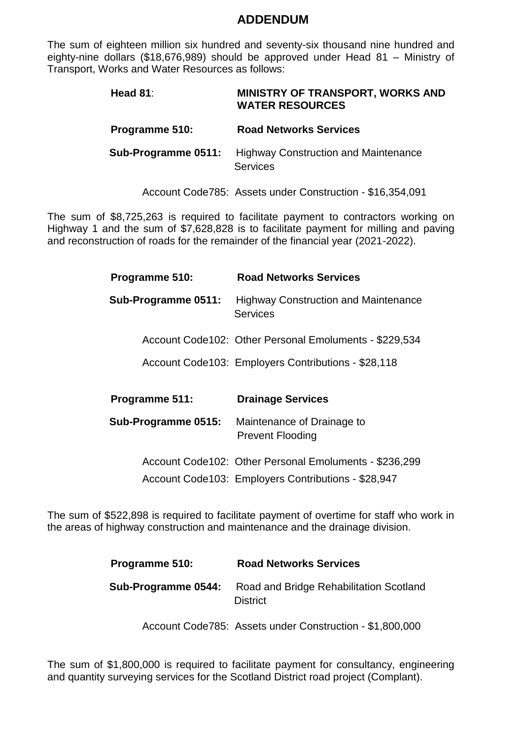The sum of eighteen million six hundred and seventy-six thousand nine hundred and eighty-nine dollars (\$18,676,989) should be approved under Head 81 – Ministry of Transport, Works and Water Resources as follows:

| Head $81$ :         | <b>MINISTRY OF TRANSPORT, WORKS AND</b><br><b>WATER RESOURCES</b> |
|---------------------|-------------------------------------------------------------------|
| Programme 510:      | <b>Road Networks Services</b>                                     |
| Sub-Programme 0511: | <b>Highway Construction and Maintenance</b><br><b>Services</b>    |

Account Code785: Assets under Construction - \$16,354,091

The sum of \$8,725,263 is required to facilitate payment to contractors working on Highway 1 and the sum of \$7,628,828 is to facilitate payment for milling and paving and reconstruction of roads for the remainder of the financial year (2021-2022).

| Programme 510:      | <b>Road Networks Services</b>                                  |
|---------------------|----------------------------------------------------------------|
| Sub-Programme 0511: | <b>Highway Construction and Maintenance</b><br><b>Services</b> |
|                     | Account Code102: Other Personal Emoluments - \$229,534         |
|                     | Account Code 103: Employers Contributions - \$28,118           |
|                     |                                                                |
| Programme 511:      | <b>Drainage Services</b>                                       |
| Sub-Programme 0515: | Maintenance of Drainage to<br><b>Prevent Flooding</b>          |
|                     | Account Code102: Other Personal Emoluments - \$236,299         |
|                     | Account Code103: Employers Contributions - \$28,947            |

The sum of \$522,898 is required to facilitate payment of overtime for staff who work in the areas of highway construction and maintenance and the drainage division.

| <b>Programme 510:</b> | <b>Road Networks Services</b>                              |
|-----------------------|------------------------------------------------------------|
| Sub-Programme 0544:   | Road and Bridge Rehabilitation Scotland<br><b>District</b> |

Account Code785: Assets under Construction - \$1,800,000

The sum of \$1,800,000 is required to facilitate payment for consultancy, engineering and quantity surveying services for the Scotland District road project (Complant).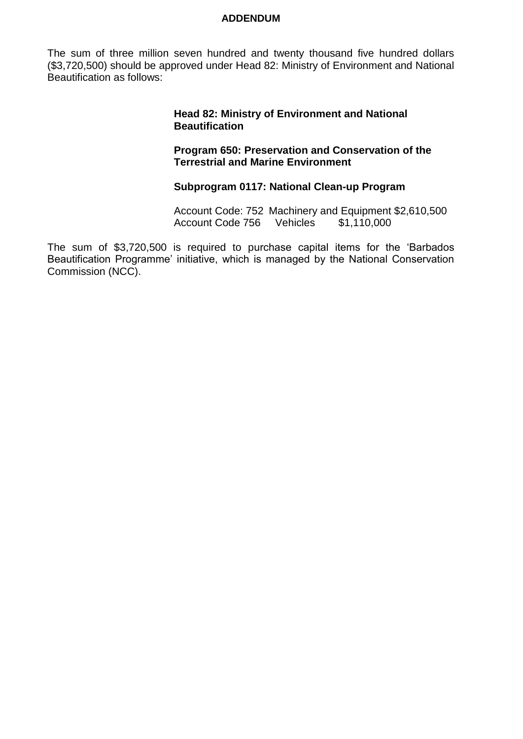The sum of three million seven hundred and twenty thousand five hundred dollars (\$3,720,500) should be approved under Head 82: Ministry of Environment and National Beautification as follows:

#### **Head 82: Ministry of Environment and National Beautification**

**Program 650: Preservation and Conservation of the Terrestrial and Marine Environment** 

### **Subprogram 0117: National Clean-up Program**

Account Code: 752 Machinery and Equipment \$2,610,500 Account Code 756 Vehicles \$1,110,000

The sum of \$3,720,500 is required to purchase capital items for the 'Barbados Beautification Programme' initiative, which is managed by the National Conservation Commission (NCC).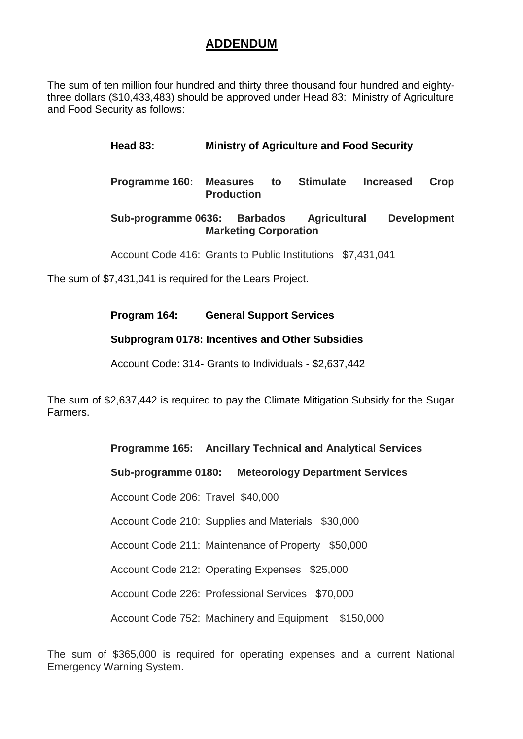The sum of ten million four hundred and thirty three thousand four hundred and eightythree dollars (\$10,433,483) should be approved under Head 83: Ministry of Agriculture and Food Security as follows:

## **Head 83: Ministry of Agriculture and Food Security**

**Programme 160: Measures to Stimulate Increased Crop Production**

### **Sub-programme 0636: Barbados Agricultural Development Marketing Corporation**

Account Code 416: Grants to Public Institutions \$7,431,041

The sum of \$7,431,041 is required for the Lears Project.

### **Program 164: General Support Services**

## **Subprogram 0178: Incentives and Other Subsidies**

Account Code: 314- Grants to Individuals - \$2,637,442

The sum of \$2,637,442 is required to pay the Climate Mitigation Subsidy for the Sugar Farmers.

| <b>Programme 165:</b> Ancillary Technical and Analytical Services |  |
|-------------------------------------------------------------------|--|
| Sub-programme 0180: Meteorology Department Services               |  |
| Account Code 206: Travel \$40,000                                 |  |
| Account Code 210: Supplies and Materials \$30,000                 |  |
| Account Code 211: Maintenance of Property \$50,000                |  |
| Account Code 212: Operating Expenses \$25,000                     |  |
| Account Code 226: Professional Services \$70,000                  |  |
| Account Code 752: Machinery and Equipment \$150,000               |  |

The sum of \$365,000 is required for operating expenses and a current National Emergency Warning System.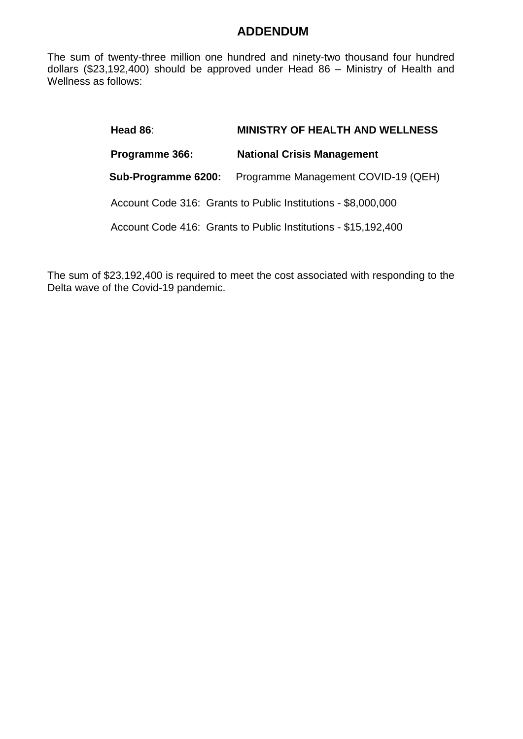The sum of twenty-three million one hundred and ninety-two thousand four hundred dollars (\$23,192,400) should be approved under Head 86 – Ministry of Health and Wellness as follows:

| Head $86$ :         | <b>MINISTRY OF HEALTH AND WELLNESS</b>                         |
|---------------------|----------------------------------------------------------------|
| Programme 366:      | <b>National Crisis Management</b>                              |
| Sub-Programme 6200: | Programme Management COVID-19 (QEH)                            |
|                     | Account Code 316: Grants to Public Institutions - \$8,000,000  |
|                     | Account Code 416: Grants to Public Institutions - \$15,192,400 |
|                     |                                                                |

The sum of \$23,192,400 is required to meet the cost associated with responding to the Delta wave of the Covid-19 pandemic.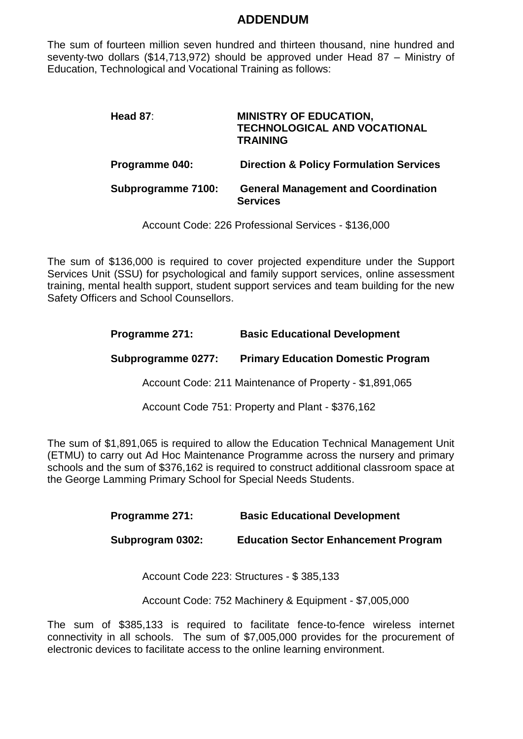The sum of fourteen million seven hundred and thirteen thousand, nine hundred and seventy-two dollars (\$14,713,972) should be approved under Head 87 – Ministry of Education, Technological and Vocational Training as follows:

| Head 87:           | <b>MINISTRY OF EDUCATION,</b><br><b>TECHNOLOGICAL AND VOCATIONAL</b><br><b>TRAINING</b> |
|--------------------|-----------------------------------------------------------------------------------------|
| Programme 040:     | <b>Direction &amp; Policy Formulation Services</b>                                      |
| Subprogramme 7100: | <b>General Management and Coordination</b><br><b>Services</b>                           |

Account Code: 226 Professional Services - \$136,000

The sum of \$136,000 is required to cover projected expenditure under the Support Services Unit (SSU) for psychological and family support services, online assessment training, mental health support, student support services and team building for the new Safety Officers and School Counsellors.

| Programme 271:     | <b>Basic Educational Development</b>                    |
|--------------------|---------------------------------------------------------|
| Subprogramme 0277: | <b>Primary Education Domestic Program</b>               |
|                    | Account Code: 211 Maintenance of Property - \$1,891,065 |
|                    | Account Code 751: Property and Plant - \$376,162        |

The sum of \$1,891,065 is required to allow the Education Technical Management Unit (ETMU) to carry out Ad Hoc Maintenance Programme across the nursery and primary schools and the sum of \$376,162 is required to construct additional classroom space at the George Lamming Primary School for Special Needs Students.

| Programme 271:   | <b>Basic Educational Development</b>        |
|------------------|---------------------------------------------|
| Subprogram 0302: | <b>Education Sector Enhancement Program</b> |

Account Code 223: Structures - \$ 385,133

Account Code: 752 Machinery & Equipment - \$7,005,000

The sum of \$385,133 is required to facilitate fence-to-fence wireless internet connectivity in all schools. The sum of \$7,005,000 provides for the procurement of electronic devices to facilitate access to the online learning environment.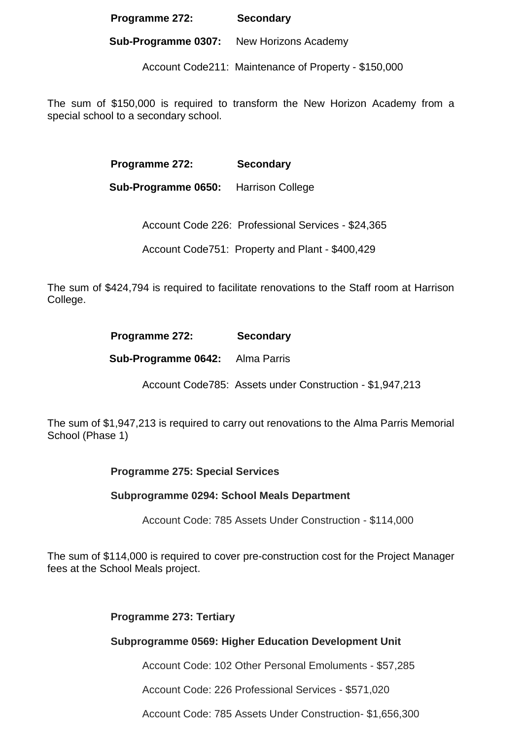### **Programme 272: Secondary**

**Sub-Programme 0307:** New Horizons Academy

Account Code211: Maintenance of Property - \$150,000

The sum of \$150,000 is required to transform the New Horizon Academy from a special school to a secondary school.

**Programme 272: Secondary**

 **Sub-Programme 0650:** Harrison College

Account Code 226: Professional Services - \$24,365

Account Code751: Property and Plant - \$400,429

The sum of \$424,794 is required to facilitate renovations to the Staff room at Harrison College.

| Programme 272:                         | <b>Secondary</b> |
|----------------------------------------|------------------|
| <b>Sub-Programme 0642:</b> Alma Parris |                  |

Account Code785: Assets under Construction - \$1,947,213

The sum of \$1,947,213 is required to carry out renovations to the Alma Parris Memorial School (Phase 1)

**Programme 275: Special Services**

## **Subprogramme 0294: School Meals Department**

Account Code: 785 Assets Under Construction - \$114,000

The sum of \$114,000 is required to cover pre-construction cost for the Project Manager fees at the School Meals project.

## **Programme 273: Tertiary**

## **Subprogramme 0569: Higher Education Development Unit**

Account Code: 102 Other Personal Emoluments - \$57,285

Account Code: 226 Professional Services - \$571,020

Account Code: 785 Assets Under Construction- \$1,656,300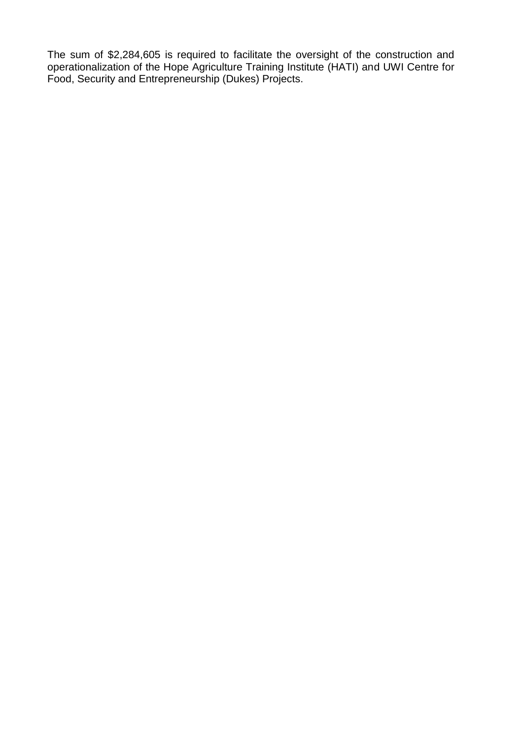The sum of \$2,284,605 is required to facilitate the oversight of the construction and operationalization of the Hope Agriculture Training Institute (HATI) and UWI Centre for Food, Security and Entrepreneurship (Dukes) Projects.